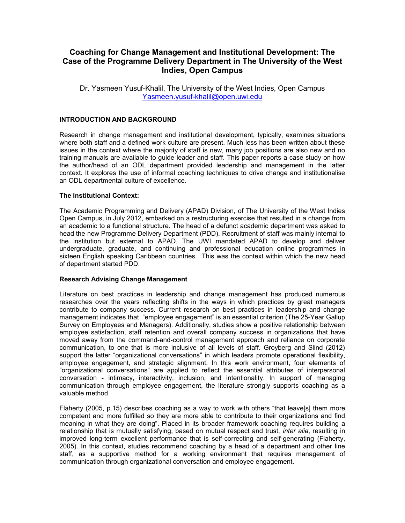# **Coaching for Change Management and Institutional Development: The Case of the Programme Delivery Department in The University of the West Indies, Open Campus**

Dr. Yasmeen Yusuf-Khalil, The University of the West Indies, Open Campus Yasmeen.yusuf-khalil@open.uwi.edu

## **INTRODUCTION AND BACKGROUND**

Research in change management and institutional development, typically, examines situations where both staff and a defined work culture are present. Much less has been written about these issues in the context where the majority of staff is new, many job positions are also new and no training manuals are available to guide leader and staff. This paper reports a case study on how the author/head of an ODL department provided leadership and management in the latter context. It explores the use of informal coaching techniques to drive change and institutionalise an ODL departmental culture of excellence.

## **The Institutional Context:**

The Academic Programming and Delivery (APAD) Division, of The University of the West Indies Open Campus, in July 2012, embarked on a restructuring exercise that resulted in a change from an academic to a functional structure. The head of a defunct academic department was asked to head the new Programme Delivery Department (PDD). Recruitment of staff was mainly internal to the institution but external to APAD. The UWI mandated APAD to develop and deliver undergraduate, graduate, and continuing and professional education online programmes in sixteen English speaking Caribbean countries. This was the context within which the new head of department started PDD.

### **Research Advising Change Management**

Literature on best practices in leadership and change management has produced numerous researches over the years reflecting shifts in the ways in which practices by great managers contribute to company success. Current research on best practices in leadership and change management indicates that "employee engagement" is an essential criterion (The 25-Year Gallup Survey on Employees and Managers). Additionally, studies show a positive relationship between employee satisfaction, staff retention and overall company success in organizations that have moved away from the command-and-control management approach and reliance on corporate communication, to one that is more inclusive of all levels of staff. Groyberg and Slind (2012) support the latter "organizational conversations" in which leaders promote operational flexibility, employee engagement, and strategic alignment. In this work environment, four elements of "organizational conversations" are applied to reflect the essential attributes of interpersonal conversation - intimacy, interactivity, inclusion, and intentionality. In support of managing communication through employee engagement, the literature strongly supports coaching as a valuable method.

Flaherty (2005, p.15) describes coaching as a way to work with others "that leave[s] them more competent and more fulfilled so they are more able to contribute to their organizations and find meaning in what they are doing". Placed in its broader framework coaching requires building a relationship that is mutually satisfying, based on mutual respect and trust, *inter alia*, resulting in improved long-term excellent performance that is self-correcting and self-generating (Flaherty, 2005). In this context, studies recommend coaching by a head of a department and other line staff, as a supportive method for a working environment that requires management of communication through organizational conversation and employee engagement.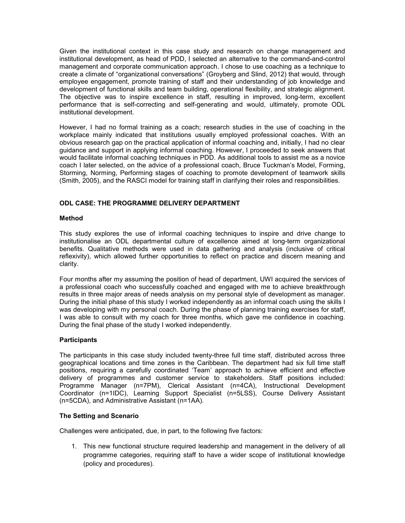Given the institutional context in this case study and research on change management and institutional development, as head of PDD, I selected an alternative to the command-and-control management and corporate communication approach. I chose to use coaching as a technique to create a climate of "organizational conversations" (Groyberg and Slind, 2012) that would, through employee engagement, promote training of staff and their understanding of job knowledge and development of functional skills and team building, operational flexibility, and strategic alignment. The objective was to inspire excellence in staff, resulting in improved, long-term, excellent performance that is self-correcting and self-generating and would, ultimately, promote ODL institutional development.

However, I had no formal training as a coach; research studies in the use of coaching in the workplace mainly indicated that institutions usually employed professional coaches. With an obvious research gap on the practical application of informal coaching and, initially, I had no clear guidance and support in applying informal coaching. However, I proceeded to seek answers that would facilitate informal coaching techniques in PDD. As additional tools to assist me as a novice coach I later selected, on the advice of a professional coach, Bruce Tuckman's Model, Forming, Storming, Norming, Performing stages of coaching to promote development of teamwork skills (Smith, 2005), and the RASCI model for training staff in clarifying their roles and responsibilities.

# **ODL CASE: THE PROGRAMME DELIVERY DEPARTMENT**

# **Method**

This study explores the use of informal coaching techniques to inspire and drive change to institutionalise an ODL departmental culture of excellence aimed at long-term organizational benefits. Qualitative methods were used in data gathering and analysis (inclusive of critical reflexivity), which allowed further opportunities to reflect on practice and discern meaning and clarity.

Four months after my assuming the position of head of department, UWI acquired the services of a professional coach who successfully coached and engaged with me to achieve breakthrough results in three major areas of needs analysis on my personal style of development as manager. During the initial phase of this study I worked independently as an informal coach using the skills I was developing with my personal coach. During the phase of planning training exercises for staff, I was able to consult with my coach for three months, which gave me confidence in coaching. During the final phase of the study I worked independently.

# **Participants**

The participants in this case study included twenty-three full time staff, distributed across three geographical locations and time zones in the Caribbean. The department had six full time staff positions, requiring a carefully coordinated 'Team' approach to achieve efficient and effective delivery of programmes and customer service to stakeholders. Staff positions included: Programme Manager (n=7PM), Clerical Assistant (n=4CA), Instructional Development Coordinator (n=1IDC), Learning Support Specialist (n=5LSS), Course Delivery Assistant (n=5CDA), and Administrative Assistant (n=1AA).

# **The Setting and Scenario**

Challenges were anticipated, due, in part, to the following five factors:

1. This new functional structure required leadership and management in the delivery of all programme categories, requiring staff to have a wider scope of institutional knowledge (policy and procedures).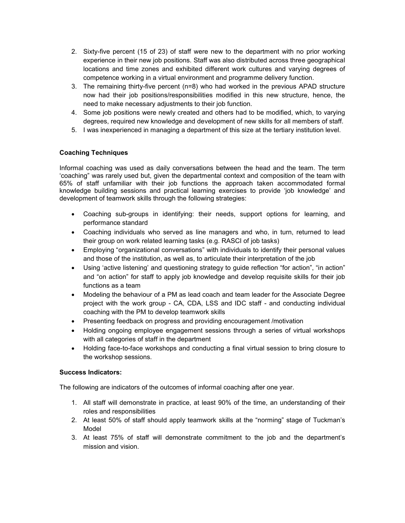- 2. Sixty-five percent (15 of 23) of staff were new to the department with no prior working experience in their new job positions. Staff was also distributed across three geographical locations and time zones and exhibited different work cultures and varying degrees of competence working in a virtual environment and programme delivery function.
- 3. The remaining thirty-five percent (n=8) who had worked in the previous APAD structure now had their job positions/responsibilities modified in this new structure, hence, the need to make necessary adjustments to their job function.
- 4. Some job positions were newly created and others had to be modified, which, to varying degrees, required new knowledge and development of new skills for all members of staff.
- 5. I was inexperienced in managing a department of this size at the tertiary institution level.

# **Coaching Techniques**

Informal coaching was used as daily conversations between the head and the team. The term 'coaching" was rarely used but, given the departmental context and composition of the team with 65% of staff unfamiliar with their job functions the approach taken accommodated formal knowledge building sessions and practical learning exercises to provide 'job knowledge' and development of teamwork skills through the following strategies:

- Coaching sub-groups in identifying: their needs, support options for learning, and performance standard
- Coaching individuals who served as line managers and who, in turn, returned to lead their group on work related learning tasks (e.g. RASCI of job tasks)
- ∑ Employing "organizational conversations" with individuals to identify their personal values and those of the institution, as well as, to articulate their interpretation of the job
- Using 'active listening' and questioning strategy to quide reflection "for action", "in action" and "on action" for staff to apply job knowledge and develop requisite skills for their job functions as a team
- Modeling the behaviour of a PM as lead coach and team leader for the Associate Degree project with the work group - CA, CDA, LSS and IDC staff - and conducting individual coaching with the PM to develop teamwork skills
- Presenting feedback on progress and providing encouragement /motivation
- Holding ongoing employee engagement sessions through a series of virtual workshops with all categories of staff in the department
- Holding face-to-face workshops and conducting a final virtual session to bring closure to the workshop sessions.

# **Success Indicators:**

The following are indicators of the outcomes of informal coaching after one year.

- 1. All staff will demonstrate in practice, at least 90% of the time, an understanding of their roles and responsibilities
- 2. At least 50% of staff should apply teamwork skills at the "norming" stage of Tuckman's Model
- 3. At least 75% of staff will demonstrate commitment to the job and the department's mission and vision.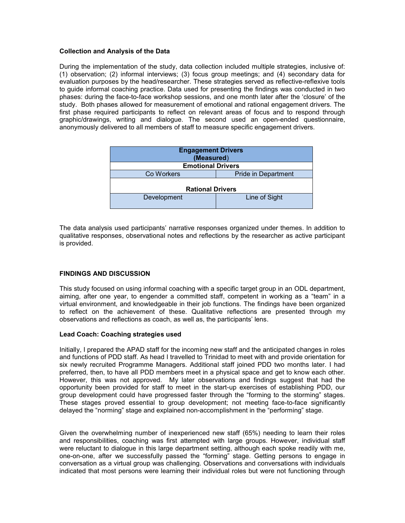### **Collection and Analysis of the Data**

During the implementation of the study, data collection included multiple strategies, inclusive of: (1) observation; (2) informal interviews; (3) focus group meetings; and (4) secondary data for evaluation purposes by the head/researcher. These strategies served as reflective-reflexive tools to guide informal coaching practice. Data used for presenting the findings was conducted in two phases: during the face-to-face workshop sessions, and one month later after the 'closure' of the study. Both phases allowed for measurement of emotional and rational engagement drivers. The first phase required participants to reflect on relevant areas of focus and to respond through graphic/drawings, writing and dialogue. The second used an open-ended questionnaire, anonymously delivered to all members of staff to measure specific engagement drivers.

| <b>Engagement Drivers</b><br>(Measured) |                            |  |
|-----------------------------------------|----------------------------|--|
| <b>Emotional Drivers</b>                |                            |  |
| Co Workers                              | <b>Pride in Department</b> |  |
| <b>Rational Drivers</b>                 |                            |  |
| Development                             | Line of Sight              |  |

The data analysis used participants' narrative responses organized under themes. In addition to qualitative responses, observational notes and reflections by the researcher as active participant is provided.

# **FINDINGS AND DISCUSSION**

This study focused on using informal coaching with a specific target group in an ODL department, aiming, after one year, to engender a committed staff, competent in working as a "team" in a virtual environment, and knowledgeable in their job functions. The findings have been organized to reflect on the achievement of these. Qualitative reflections are presented through my observations and reflections as coach, as well as, the participants' lens.

### **Lead Coach: Coaching strategies used**

Initially, I prepared the APAD staff for the incoming new staff and the anticipated changes in roles and functions of PDD staff. As head I travelled to Trinidad to meet with and provide orientation for six newly recruited Programme Managers. Additional staff joined PDD two months later. I had preferred, then, to have all PDD members meet in a physical space and get to know each other. However, this was not approved. My later observations and findings suggest that had the opportunity been provided for staff to meet in the start-up exercises of establishing PDD, our group development could have progressed faster through the "forming to the storming" stages. These stages proved essential to group development; not meeting face-to-face significantly delayed the "norming" stage and explained non-accomplishment in the "performing" stage.

Given the overwhelming number of inexperienced new staff (65%) needing to learn their roles and responsibilities, coaching was first attempted with large groups. However, individual staff were reluctant to dialogue in this large department setting, although each spoke readily with me, one-on-one, after we successfully passed the "forming" stage. Getting persons to engage in conversation as a virtual group was challenging. Observations and conversations with individuals indicated that most persons were learning their individual roles but were not functioning through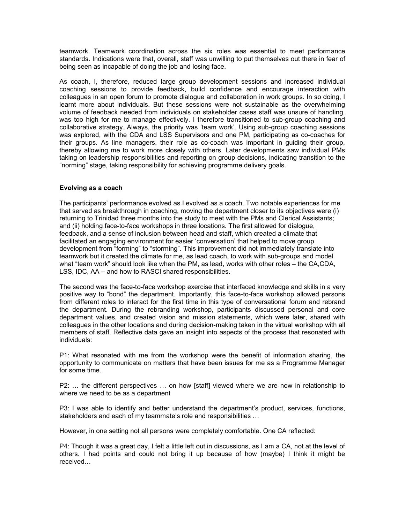teamwork. Teamwork coordination across the six roles was essential to meet performance standards. Indications were that, overall, staff was unwilling to put themselves out there in fear of being seen as incapable of doing the job and losing face.

As coach, I, therefore, reduced large group development sessions and increased individual coaching sessions to provide feedback, build confidence and encourage interaction with colleagues in an open forum to promote dialogue and collaboration in work groups. In so doing, I learnt more about individuals. But these sessions were not sustainable as the overwhelming volume of feedback needed from individuals on stakeholder cases staff was unsure of handling, was too high for me to manage effectively. I therefore transitioned to sub-group coaching and collaborative strategy. Always, the priority was 'team work'. Using sub-group coaching sessions was explored, with the CDA and LSS Supervisors and one PM, participating as co-coaches for their groups. As line managers, their role as co-coach was important in guiding their group, thereby allowing me to work more closely with others. Later developments saw individual PMs taking on leadership responsibilities and reporting on group decisions, indicating transition to the "norming" stage, taking responsibility for achieving programme delivery goals.

### **Evolving as a coach**

The participants' performance evolved as I evolved as a coach. Two notable experiences for me that served as breakthrough in coaching, moving the department closer to its objectives were (i) returning to Trinidad three months into the study to meet with the PMs and Clerical Assistants; and (ii) holding face-to-face workshops in three locations. The first allowed for dialogue, feedback, and a sense of inclusion between head and staff, which created a climate that facilitated an engaging environment for easier 'conversation' that helped to move group development from "forming" to "storming". This improvement did not immediately translate into teamwork but it created the climate for me, as lead coach, to work with sub-groups and model what "team work" should look like when the PM, as lead, works with other roles – the CA,CDA, LSS, IDC, AA – and how to RASCI shared responsibilities.

The second was the face-to-face workshop exercise that interfaced knowledge and skills in a very positive way to "bond" the department. Importantly, this face-to-face workshop allowed persons from different roles to interact for the first time in this type of conversational forum and rebrand the department. During the rebranding workshop, participants discussed personal and core department values, and created vision and mission statements, which were later, shared with colleagues in the other locations and during decision-making taken in the virtual workshop with all members of staff. Reflective data gave an insight into aspects of the process that resonated with individuals:

P1: What resonated with me from the workshop were the benefit of information sharing, the opportunity to communicate on matters that have been issues for me as a Programme Manager for some time.

P2: … the different perspectives … on how [staff] viewed where we are now in relationship to where we need to be as a department

P3: I was able to identify and better understand the department's product, services, functions, stakeholders and each of my teammate's role and responsibilities …

However, in one setting not all persons were completely comfortable. One CA reflected:

P4: Though it was a great day, I felt a little left out in discussions, as I am a CA, not at the level of others. I had points and could not bring it up because of how (maybe) I think it might be received…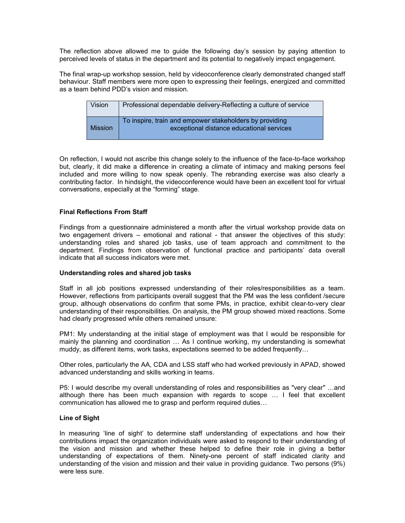The reflection above allowed me to guide the following day's session by paying attention to perceived levels of status in the department and its potential to negatively impact engagement.

The final wrap-up workshop session, held by videoconference clearly demonstrated changed staff behaviour. Staff members were more open to expressing their feelings, energized and committed as a team behind PDD's vision and mission.

| Vision  | Professional dependable delivery-Reflecting a culture of service                                     |
|---------|------------------------------------------------------------------------------------------------------|
| Mission | To inspire, train and empower stakeholders by providing<br>exceptional distance educational services |

On reflection, I would not ascribe this change solely to the influence of the face-to-face workshop but, clearly, it did make a difference in creating a climate of intimacy and making persons feel included and more willing to now speak openly. The rebranding exercise was also clearly a contributing factor. In hindsight, the videoconference would have been an excellent tool for virtual conversations, especially at the "forming" stage.

# **Final Reflections From Staff**

Findings from a questionnaire administered a month after the virtual workshop provide data on two engagement drivers – emotional and rational - that answer the objectives of this study: understanding roles and shared job tasks, use of team approach and commitment to the department. Findings from observation of functional practice and participants' data overall indicate that all success indicators were met.

#### **Understanding roles and shared job tasks**

Staff in all job positions expressed understanding of their roles/responsibilities as a team. However, reflections from participants overall suggest that the PM was the less confident /secure group, although observations do confirm that some PMs, in practice, exhibit clear-to-very clear understanding of their responsibilities. On analysis, the PM group showed mixed reactions. Some had clearly progressed while others remained unsure:

PM1: My understanding at the initial stage of employment was that I would be responsible for mainly the planning and coordination … As I continue working, my understanding is somewhat muddy, as different items, work tasks, expectations seemed to be added frequently…

Other roles, particularly the AA, CDA and LSS staff who had worked previously in APAD, showed advanced understanding and skills working in teams.

P5: I would describe my overall understanding of roles and responsibilities as "very clear" …and although there has been much expansion with regards to scope … I feel that excellent communication has allowed me to grasp and perform required duties…

#### **Line of Sight**

In measuring 'line of sight' to determine staff understanding of expectations and how their contributions impact the organization individuals were asked to respond to their understanding of the vision and mission and whether these helped to define their role in giving a better understanding of expectations of them. Ninety-one percent of staff indicated clarity and understanding of the vision and mission and their value in providing guidance. Two persons (9%) were less sure.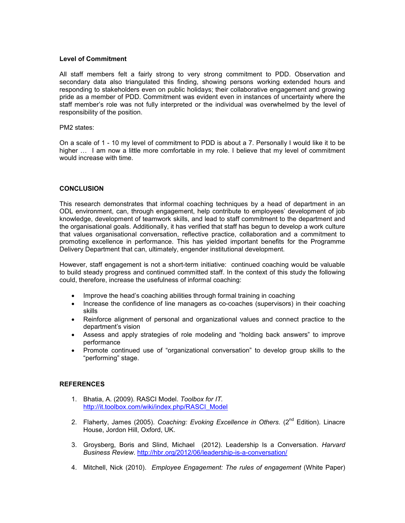#### **Level of Commitment**

All staff members felt a fairly strong to very strong commitment to PDD. Observation and secondary data also triangulated this finding, showing persons working extended hours and responding to stakeholders even on public holidays; their collaborative engagement and growing pride as a member of PDD. Commitment was evident even in instances of uncertainty where the staff member's role was not fully interpreted or the individual was overwhelmed by the level of responsibility of the position.

#### PM2 states:

On a scale of 1 - 10 my level of commitment to PDD is about a 7. Personally I would like it to be higher ... I am now a little more comfortable in my role. I believe that my level of commitment would increase with time.

#### **CONCLUSION**

This research demonstrates that informal coaching techniques by a head of department in an ODL environment, can, through engagement, help contribute to employees' development of job knowledge, development of teamwork skills, and lead to staff commitment to the department and the organisational goals. Additionally, it has verified that staff has begun to develop a work culture that values organisational conversation, reflective practice, collaboration and a commitment to promoting excellence in performance. This has yielded important benefits for the Programme Delivery Department that can, ultimately, engender institutional development.

However, staff engagement is not a short-term initiative: continued coaching would be valuable to build steady progress and continued committed staff. In the context of this study the following could, therefore, increase the usefulness of informal coaching:

- Improve the head's coaching abilities through formal training in coaching
- Increase the confidence of line managers as co-coaches (supervisors) in their coaching skills
- Reinforce alignment of personal and organizational values and connect practice to the department's vision
- Assess and apply strategies of role modeling and "holding back answers" to improve performance
- Promote continued use of "organizational conversation" to develop group skills to the "performing" stage.

### **REFERENCES**

- 1. Bhatia, A. (2009). RASCI Model. *Toolbox for IT.* [http://it.toolbox.com/wiki/index.php/RASCI\\_Model](http://it.toolbox.com/wiki/index.php/RASCI_Model)
- 2. Flaherty, James (2005). *Coaching: Evoking Excellence in Others.* (2<sup>nd</sup> Edition). Linacre House, Jordon Hill, Oxford, UK.
- 3. Groysberg, Boris and Slind, Michael (2012). Leadership Is a Conversation. *Harvard Business Review*.<http://hbr.org/2012/06/leadership-is-a-conversation/>
- 4. Mitchell, Nick (2010). *Employee Engagement: The rules of engagement* (White Paper)